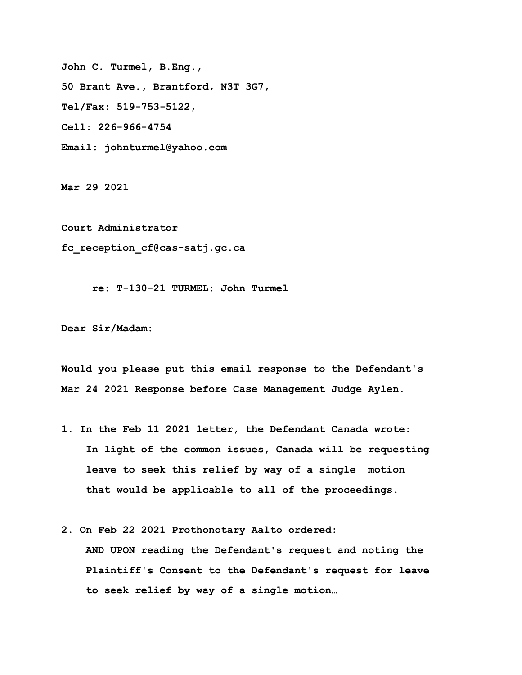**John C. Turmel, B.Eng., 50 Brant Ave., Brantford, N3T 3G7, Tel/Fax: 519-753-5122, Cell: 226-966-4754 Email: johnturmel@yahoo.com**

**Mar 29 2021** 

**Court Administrator fc\_reception\_cf@cas-satj.gc.ca**

 **re: T-130-21 TURMEL: John Turmel**

**Dear Sir/Madam:** 

**Would you please put this email response to the Defendant's Mar 24 2021 Response before Case Management Judge Aylen.** 

- **1. In the Feb 11 2021 letter, the Defendant Canada wrote: In light of the common issues, Canada will be requesting leave to seek this relief by way of a single motion that would be applicable to all of the proceedings.**
- **2. On Feb 22 2021 Prothonotary Aalto ordered:**

 **AND UPON reading the Defendant's request and noting the Plaintiff's Consent to the Defendant's request for leave to seek relief by way of a single motion…**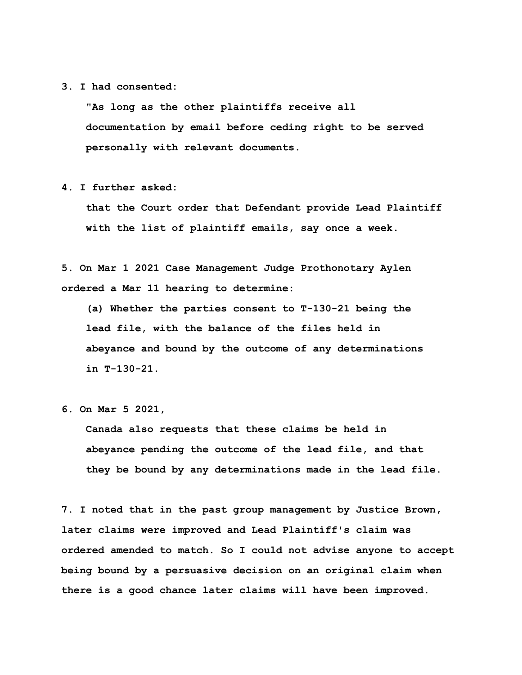## **3. I had consented:**

 **"As long as the other plaintiffs receive all documentation by email before ceding right to be served personally with relevant documents.** 

**4. I further asked:** 

 **that the Court order that Defendant provide Lead Plaintiff with the list of plaintiff emails, say once a week.**

**5. On Mar 1 2021 Case Management Judge Prothonotary Aylen ordered a Mar 11 hearing to determine:** 

 **(a) Whether the parties consent to T-130-21 being the lead file, with the balance of the files held in abeyance and bound by the outcome of any determinations in T-130-21.**

 **Canada also requests that these claims be held in abeyance pending the outcome of the lead file, and that they be bound by any determinations made in the lead file.**

**7. I noted that in the past group management by Justice Brown, later claims were improved and Lead Plaintiff's claim was ordered amended to match. So I could not advise anyone to accept being bound by a persuasive decision on an original claim when there is a good chance later claims will have been improved.** 

**<sup>6.</sup> On Mar 5 2021,**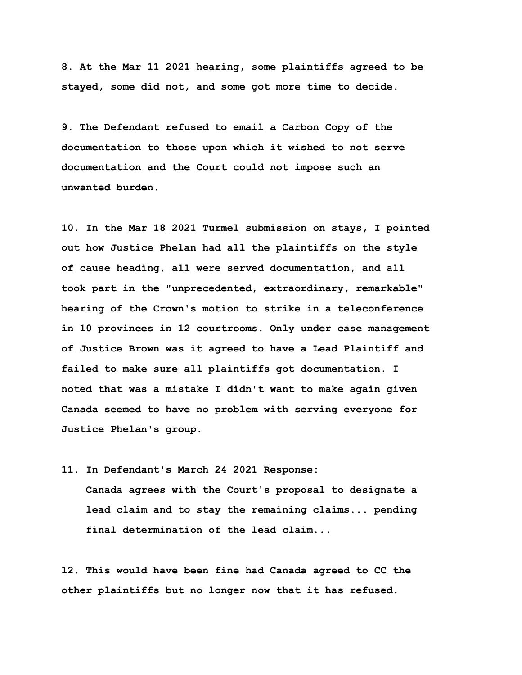**8. At the Mar 11 2021 hearing, some plaintiffs agreed to be stayed, some did not, and some got more time to decide.** 

**9. The Defendant refused to email a Carbon Copy of the documentation to those upon which it wished to not serve documentation and the Court could not impose such an unwanted burden.** 

**10. In the Mar 18 2021 Turmel submission on stays, I pointed out how Justice Phelan had all the plaintiffs on the style of cause heading, all were served documentation, and all took part in the "unprecedented, extraordinary, remarkable" hearing of the Crown's motion to strike in a teleconference in 10 provinces in 12 courtrooms. Only under case management of Justice Brown was it agreed to have a Lead Plaintiff and failed to make sure all plaintiffs got documentation. I noted that was a mistake I didn't want to make again given Canada seemed to have no problem with serving everyone for Justice Phelan's group.** 

**11. In Defendant's March 24 2021 Response:** 

 **Canada agrees with the Court's proposal to designate a lead claim and to stay the remaining claims... pending final determination of the lead claim...**

**12. This would have been fine had Canada agreed to CC the other plaintiffs but no longer now that it has refused.**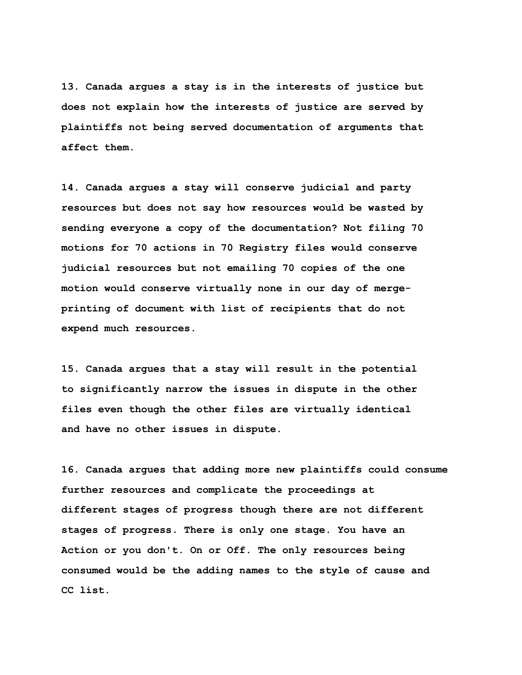**13. Canada argues a stay is in the interests of justice but does not explain how the interests of justice are served by plaintiffs not being served documentation of arguments that affect them.** 

**14. Canada argues a stay will conserve judicial and party resources but does not say how resources would be wasted by sending everyone a copy of the documentation? Not filing 70 motions for 70 actions in 70 Registry files would conserve judicial resources but not emailing 70 copies of the one motion would conserve virtually none in our day of mergeprinting of document with list of recipients that do not expend much resources.**

**15. Canada argues that a stay will result in the potential to significantly narrow the issues in dispute in the other files even though the other files are virtually identical and have no other issues in dispute.** 

**16. Canada argues that adding more new plaintiffs could consume further resources and complicate the proceedings at different stages of progress though there are not different stages of progress. There is only one stage. You have an Action or you don't. On or Off. The only resources being consumed would be the adding names to the style of cause and CC list.**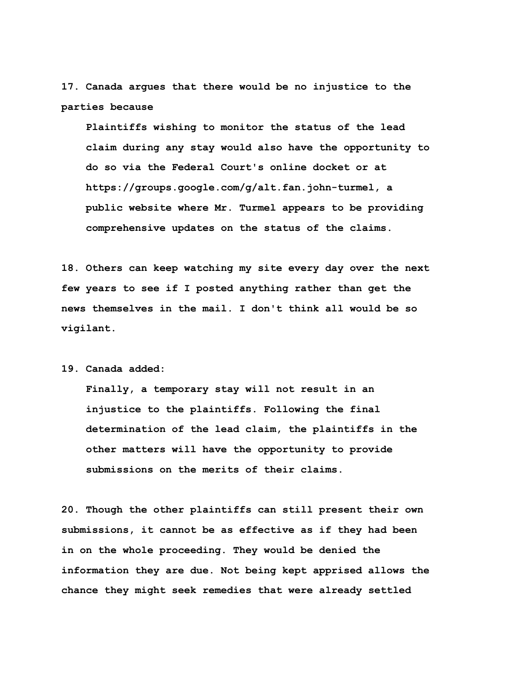**17. Canada argues that there would be no injustice to the parties because** 

 **Plaintiffs wishing to monitor the status of the lead claim during any stay would also have the opportunity to do so via the Federal Court's online docket or at https://groups.google.com/g/alt.fan.john-turmel, a public website where Mr. Turmel appears to be providing comprehensive updates on the status of the claims.** 

**18. Others can keep watching my site every day over the next few years to see if I posted anything rather than get the news themselves in the mail. I don't think all would be so vigilant.** 

**19. Canada added:** 

 **Finally, a temporary stay will not result in an injustice to the plaintiffs. Following the final determination of the lead claim, the plaintiffs in the other matters will have the opportunity to provide submissions on the merits of their claims.** 

**20. Though the other plaintiffs can still present their own submissions, it cannot be as effective as if they had been in on the whole proceeding. They would be denied the information they are due. Not being kept apprised allows the chance they might seek remedies that were already settled**